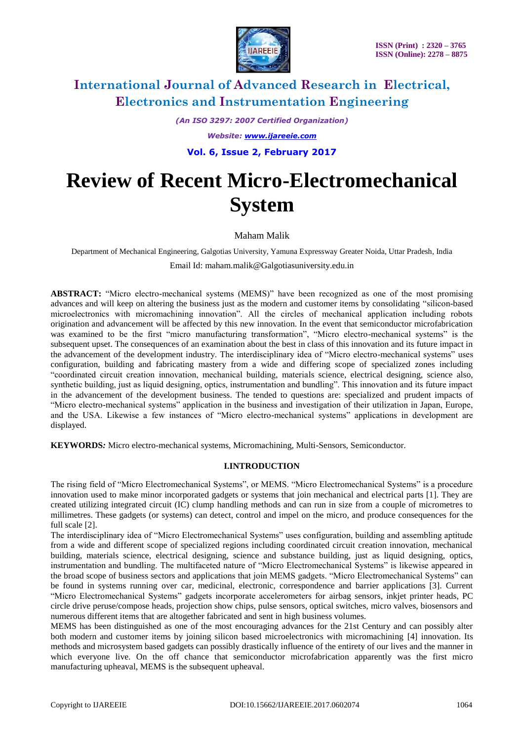

*(An ISO 3297: 2007 Certified Organization)*

*Website: [www.ijareeie.com](http://www.ijareeie.com/)*

**Vol. 6, Issue 2, February 2017**

# **Review of Recent Micro-Electromechanical System**

# Maham Malik

Department of Mechanical Engineering, Galgotias University, Yamuna Expressway Greater Noida, Uttar Pradesh, India Email Id: maham.malik@Galgotiasuniversity.edu.in

**ABSTRACT:** "Micro electro-mechanical systems (MEMS)" have been recognized as one of the most promising advances and will keep on altering the business just as the modern and customer items by consolidating "silicon-based microelectronics with micromachining innovation". All the circles of mechanical application including robots origination and advancement will be affected by this new innovation. In the event that semiconductor microfabrication was examined to be the first "micro manufacturing transformation", "Micro electro-mechanical systems" is the subsequent upset. The consequences of an examination about the best in class of this innovation and its future impact in the advancement of the development industry. The interdisciplinary idea of "Micro electro-mechanical systems" uses configuration, building and fabricating mastery from a wide and differing scope of specialized zones including "coordinated circuit creation innovation, mechanical building, materials science, electrical designing, science also, synthetic building, just as liquid designing, optics, instrumentation and bundling". This innovation and its future impact in the advancement of the development business. The tended to questions are: specialized and prudent impacts of "Micro electro-mechanical systems" application in the business and investigation of their utilization in Japan, Europe, and the USA. Likewise a few instances of "Micro electro-mechanical systems" applications in development are displayed.

**KEYWORDS***:* Micro electro-mechanical systems, Micromachining, Multi-Sensors, Semiconductor.

## **I.INTRODUCTION**

The rising field of "Micro Electromechanical Systems", or MEMS. "Micro Electromechanical Systems" is a procedure innovation used to make minor incorporated gadgets or systems that join mechanical and electrical parts [1]. They are created utilizing integrated circuit (IC) clump handling methods and can run in size from a couple of micrometres to millimetres. These gadgets (or systems) can detect, control and impel on the micro, and produce consequences for the full scale [2].

The interdisciplinary idea of "Micro Electromechanical Systems" uses configuration, building and assembling aptitude from a wide and different scope of specialized regions including coordinated circuit creation innovation, mechanical building, materials science, electrical designing, science and substance building, just as liquid designing, optics, instrumentation and bundling. The multifaceted nature of "Micro Electromechanical Systems" is likewise appeared in the broad scope of business sectors and applications that join MEMS gadgets. "Micro Electromechanical Systems" can be found in systems running over car, medicinal, electronic, correspondence and barrier applications [3]. Current "Micro Electromechanical Systems" gadgets incorporate accelerometers for airbag sensors, inkjet printer heads, PC circle drive peruse/compose heads, projection show chips, pulse sensors, optical switches, micro valves, biosensors and numerous different items that are altogether fabricated and sent in high business volumes.

MEMS has been distinguished as one of the most encouraging advances for the 21st Century and can possibly alter both modern and customer items by joining silicon based microelectronics with micromachining [4] innovation. Its methods and microsystem based gadgets can possibly drastically influence of the entirety of our lives and the manner in which everyone live. On the off chance that semiconductor microfabrication apparently was the first micro manufacturing upheaval, MEMS is the subsequent upheaval.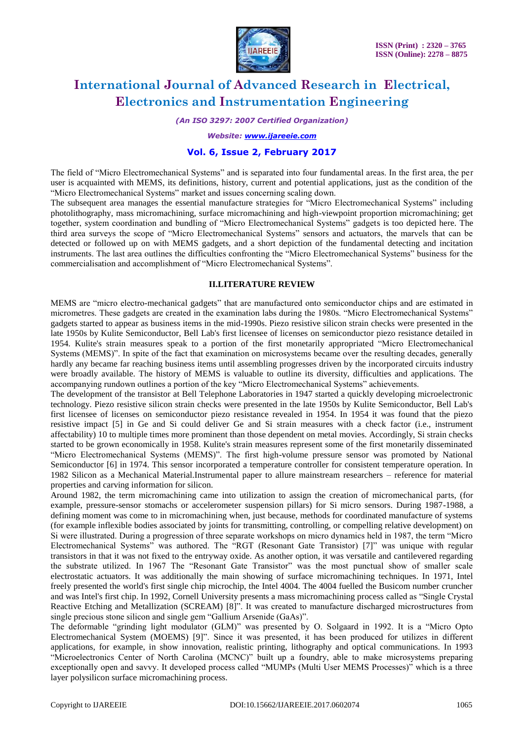

*(An ISO 3297: 2007 Certified Organization)*

*Website: [www.ijareeie.com](http://www.ijareeie.com/)*

## **Vol. 6, Issue 2, February 2017**

The field of "Micro Electromechanical Systems" and is separated into four fundamental areas. In the first area, the per user is acquainted with MEMS, its definitions, history, current and potential applications, just as the condition of the "Micro Electromechanical Systems" market and issues concerning scaling down.

The subsequent area manages the essential manufacture strategies for "Micro Electromechanical Systems" including photolithography, mass micromachining, surface micromachining and high-viewpoint proportion micromachining; get together, system coordination and bundling of "Micro Electromechanical Systems" gadgets is too depicted here. The third area surveys the scope of "Micro Electromechanical Systems" sensors and actuators, the marvels that can be detected or followed up on with MEMS gadgets, and a short depiction of the fundamental detecting and incitation instruments. The last area outlines the difficulties confronting the "Micro Electromechanical Systems" business for the commercialisation and accomplishment of "Micro Electromechanical Systems".

### **II.LITERATURE REVIEW**

MEMS are "micro electro-mechanical gadgets" that are manufactured onto semiconductor chips and are estimated in micrometres. These gadgets are created in the examination labs during the 1980s. "Micro Electromechanical Systems" gadgets started to appear as business items in the mid-1990s. Piezo resistive silicon strain checks were presented in the late 1950s by Kulite Semiconductor, Bell Lab's first licensee of licenses on semiconductor piezo resistance detailed in 1954. Kulite's strain measures speak to a portion of the first monetarily appropriated "Micro Electromechanical Systems (MEMS)". In spite of the fact that examination on microsystems became over the resulting decades, generally hardly any became far reaching business items until assembling progresses driven by the incorporated circuits industry were broadly available. The history of MEMS is valuable to outline its diversity, difficulties and applications. The accompanying rundown outlines a portion of the key "Micro Electromechanical Systems" achievements.

The development of the transistor at Bell Telephone Laboratories in 1947 started a quickly developing microelectronic technology. Piezo resistive silicon strain checks were presented in the late 1950s by Kulite Semiconductor, Bell Lab's first licensee of licenses on semiconductor piezo resistance revealed in 1954. In 1954 it was found that the piezo resistive impact [5] in Ge and Si could deliver Ge and Si strain measures with a check factor (i.e., instrument affectability) 10 to multiple times more prominent than those dependent on metal movies. Accordingly, Si strain checks started to be grown economically in 1958. Kulite's strain measures represent some of the first monetarily disseminated "Micro Electromechanical Systems (MEMS)". The first high-volume pressure sensor was promoted by National Semiconductor [6] in 1974. This sensor incorporated a temperature controller for consistent temperature operation. In 1982 Silicon as a Mechanical Material.Instrumental paper to allure mainstream researchers – reference for material properties and carving information for silicon.

Around 1982, the term micromachining came into utilization to assign the creation of micromechanical parts, (for example, pressure-sensor stomachs or accelerometer suspension pillars) for Si micro sensors. During 1987-1988, a defining moment was come to in micromachining when, just because, methods for coordinated manufacture of systems (for example inflexible bodies associated by joints for transmitting, controlling, or compelling relative development) on Si were illustrated. During a progression of three separate workshops on micro dynamics held in 1987, the term "Micro Electromechanical Systems" was authored. The "RGT (Resonant Gate Transistor) [7]" was unique with regular transistors in that it was not fixed to the entryway oxide. As another option, it was versatile and cantilevered regarding the substrate utilized. In 1967 The "Resonant Gate Transistor" was the most punctual show of smaller scale electrostatic actuators. It was additionally the main showing of surface micromachining techniques. In 1971, Intel freely presented the world's first single chip microchip, the Intel 4004. The 4004 fuelled the Busicom number cruncher and was Intel's first chip. In 1992, Cornell University presents a mass micromachining process called as "Single Crystal Reactive Etching and Metallization (SCREAM) [8]". It was created to manufacture discharged microstructures from single precious stone silicon and single gem "Gallium Arsenide (GaAs)".

The deformable "grinding light modulator (GLM)" was presented by O. Solgaard in 1992. It is a "Micro Opto Electromechanical System (MOEMS) [9]". Since it was presented, it has been produced for utilizes in different applications, for example, in show innovation, realistic printing, lithography and optical communications. In 1993 "Microelectronics Center of North Carolina (MCNC)" built up a foundry, able to make microsystems preparing exceptionally open and savvy. It developed process called "MUMPs (Multi User MEMS Processes)" which is a three layer polysilicon surface micromachining process.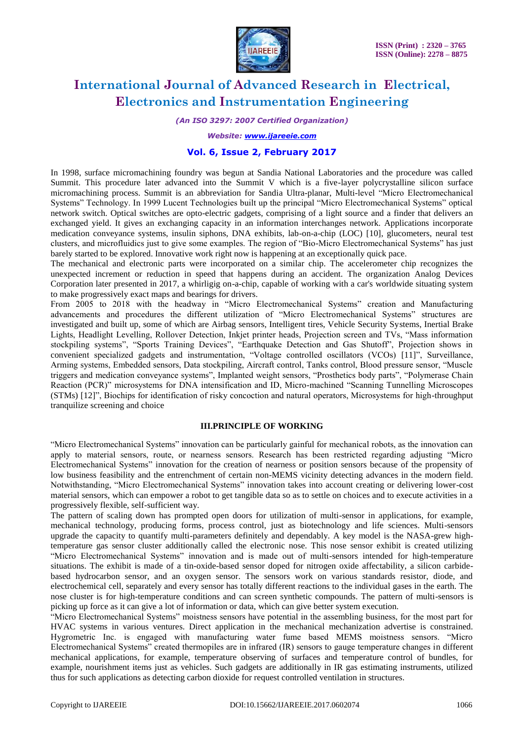

*(An ISO 3297: 2007 Certified Organization)*

*Website: [www.ijareeie.com](http://www.ijareeie.com/)*

### **Vol. 6, Issue 2, February 2017**

In 1998, surface micromachining foundry was begun at Sandia National Laboratories and the procedure was called Summit. This procedure later advanced into the Summit V which is a five-layer polycrystalline silicon surface micromachining process. Summit is an abbreviation for Sandia Ultra-planar, Multi-level "Micro Electromechanical Systems" Technology. In 1999 Lucent Technologies built up the principal "Micro Electromechanical Systems" optical network switch. Optical switches are opto-electric gadgets, comprising of a light source and a finder that delivers an exchanged yield. It gives an exchanging capacity in an information interchanges network. Applications incorporate medication conveyance systems, insulin siphons, DNA exhibits, lab-on-a-chip (LOC) [10], glucometers, neural test clusters, and microfluidics just to give some examples. The region of "Bio-Micro Electromechanical Systems" has just barely started to be explored. Innovative work right now is happening at an exceptionally quick pace.

The mechanical and electronic parts were incorporated on a similar chip. The accelerometer chip recognizes the unexpected increment or reduction in speed that happens during an accident. The organization Analog Devices Corporation later presented in 2017, a whirligig on-a-chip, capable of working with a car's worldwide situating system to make progressively exact maps and bearings for drivers.

From 2005 to 2018 with the headway in "Micro Electromechanical Systems" creation and Manufacturing advancements and procedures the different utilization of "Micro Electromechanical Systems" structures are investigated and built up, some of which are Airbag sensors, Intelligent tires, Vehicle Security Systems, Inertial Brake Lights, Headlight Levelling, Rollover Detection, Inkjet printer heads, Projection screen and TVs, "Mass information stockpiling systems", "Sports Training Devices", "Earthquake Detection and Gas Shutoff", Projection shows in convenient specialized gadgets and instrumentation, "Voltage controlled oscillators (VCOs) [11]", Surveillance, Arming systems, Embedded sensors, Data stockpiling, Aircraft control, Tanks control, Blood pressure sensor, "Muscle triggers and medication conveyance systems", Implanted weight sensors, "Prosthetics body parts", "Polymerase Chain Reaction (PCR)" microsystems for DNA intensification and ID, Micro-machined "Scanning Tunnelling Microscopes (STMs) [12]", Biochips for identification of risky concoction and natural operators, Microsystems for high-throughput tranquilize screening and choice

#### **III.PRINCIPLE OF WORKING**

"Micro Electromechanical Systems" innovation can be particularly gainful for mechanical robots, as the innovation can apply to material sensors, route, or nearness sensors. Research has been restricted regarding adjusting "Micro Electromechanical Systems" innovation for the creation of nearness or position sensors because of the propensity of low business feasibility and the entrenchment of certain non-MEMS vicinity detecting advances in the modern field. Notwithstanding, "Micro Electromechanical Systems" innovation takes into account creating or delivering lower-cost material sensors, which can empower a robot to get tangible data so as to settle on choices and to execute activities in a progressively flexible, self-sufficient way.

The pattern of scaling down has prompted open doors for utilization of multi-sensor in applications, for example, mechanical technology, producing forms, process control, just as biotechnology and life sciences. Multi-sensors upgrade the capacity to quantify multi-parameters definitely and dependably. A key model is the NASA-grew hightemperature gas sensor cluster additionally called the electronic nose. This nose sensor exhibit is created utilizing "Micro Electromechanical Systems" innovation and is made out of multi-sensors intended for high-temperature situations. The exhibit is made of a tin-oxide-based sensor doped for nitrogen oxide affectability, a silicon carbidebased hydrocarbon sensor, and an oxygen sensor. The sensors work on various standards resistor, diode, and electrochemical cell, separately and every sensor has totally different reactions to the individual gases in the earth. The nose cluster is for high-temperature conditions and can screen synthetic compounds. The pattern of multi-sensors is picking up force as it can give a lot of information or data, which can give better system execution.

"Micro Electromechanical Systems" moistness sensors have potential in the assembling business, for the most part for HVAC systems in various ventures. Direct application in the mechanical mechanization advertise is constrained. Hygrometric Inc. is engaged with manufacturing water fume based MEMS moistness sensors. "Micro Electromechanical Systems" created thermopiles are in infrared (IR) sensors to gauge temperature changes in different mechanical applications, for example, temperature observing of surfaces and temperature control of bundles, for example, nourishment items just as vehicles. Such gadgets are additionally in IR gas estimating instruments, utilized thus for such applications as detecting carbon dioxide for request controlled ventilation in structures.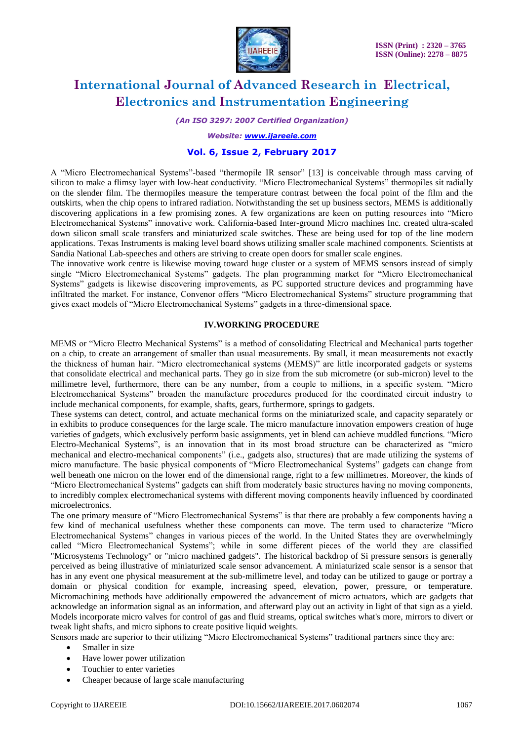

*(An ISO 3297: 2007 Certified Organization)*

*Website: [www.ijareeie.com](http://www.ijareeie.com/)*

## **Vol. 6, Issue 2, February 2017**

A "Micro Electromechanical Systems"-based "thermopile IR sensor" [13] is conceivable through mass carving of silicon to make a flimsy layer with low-heat conductivity. "Micro Electromechanical Systems" thermopiles sit radially on the slender film. The thermopiles measure the temperature contrast between the focal point of the film and the outskirts, when the chip opens to infrared radiation. Notwithstanding the set up business sectors, MEMS is additionally discovering applications in a few promising zones. A few organizations are keen on putting resources into "Micro Electromechanical Systems" innovative work. California-based Inter-ground Micro machines Inc. created ultra-scaled down silicon small scale transfers and miniaturized scale switches. These are being used for top of the line modern applications. Texas Instruments is making level board shows utilizing smaller scale machined components. Scientists at Sandia National Lab-speeches and others are striving to create open doors for smaller scale engines.

The innovative work centre is likewise moving toward huge cluster or a system of MEMS sensors instead of simply single "Micro Electromechanical Systems" gadgets. The plan programming market for "Micro Electromechanical Systems" gadgets is likewise discovering improvements, as PC supported structure devices and programming have infiltrated the market. For instance, Convenor offers "Micro Electromechanical Systems" structure programming that gives exact models of "Micro Electromechanical Systems" gadgets in a three-dimensional space.

## **IV.WORKING PROCEDURE**

MEMS or "Micro Electro Mechanical Systems" is a method of consolidating Electrical and Mechanical parts together on a chip, to create an arrangement of smaller than usual measurements. By small, it mean measurements not exactly the thickness of human hair. "Micro electromechanical systems (MEMS)" are little incorporated gadgets or systems that consolidate electrical and mechanical parts. They go in size from the sub micrometre (or sub-micron) level to the millimetre level, furthermore, there can be any number, from a couple to millions, in a specific system. "Micro Electromechanical Systems" broaden the manufacture procedures produced for the coordinated circuit industry to include mechanical components, for example, shafts, gears, furthermore, springs to gadgets.

These systems can detect, control, and actuate mechanical forms on the miniaturized scale, and capacity separately or in exhibits to produce consequences for the large scale. The micro manufacture innovation empowers creation of huge varieties of gadgets, which exclusively perform basic assignments, yet in blend can achieve muddled functions. "Micro Electro-Mechanical Systems", is an innovation that in its most broad structure can be characterized as "micro mechanical and electro-mechanical components" (i.e., gadgets also, structures) that are made utilizing the systems of micro manufacture. The basic physical components of "Micro Electromechanical Systems" gadgets can change from well beneath one micron on the lower end of the dimensional range, right to a few millimetres. Moreover, the kinds of "Micro Electromechanical Systems" gadgets can shift from moderately basic structures having no moving components, to incredibly complex electromechanical systems with different moving components heavily influenced by coordinated microelectronics.

The one primary measure of "Micro Electromechanical Systems" is that there are probably a few components having a few kind of mechanical usefulness whether these components can move. The term used to characterize "Micro Electromechanical Systems" changes in various pieces of the world. In the United States they are overwhelmingly called "Micro Electromechanical Systems"; while in some different pieces of the world they are classified "Microsystems Technology" or "micro machined gadgets". The historical backdrop of Si pressure sensors is generally perceived as being illustrative of miniaturized scale sensor advancement. A miniaturized scale sensor is a sensor that has in any event one physical measurement at the sub-millimetre level, and today can be utilized to gauge or portray a domain or physical condition for example, increasing speed, elevation, power, pressure, or temperature. Micromachining methods have additionally empowered the advancement of micro actuators, which are gadgets that acknowledge an information signal as an information, and afterward play out an activity in light of that sign as a yield. Models incorporate micro valves for control of gas and fluid streams, optical switches what's more, mirrors to divert or tweak light shafts, and micro siphons to create positive liquid weights.

Sensors made are superior to their utilizing "Micro Electromechanical Systems" traditional partners since they are:

- Smaller in size
- Have lower power utilization
- Touchier to enter varieties
- Cheaper because of large scale manufacturing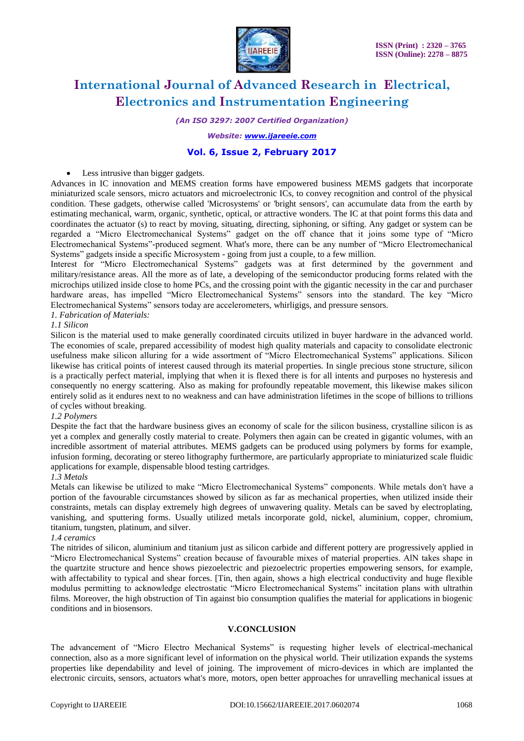

*(An ISO 3297: 2007 Certified Organization)*

#### *Website: [www.ijareeie.com](http://www.ijareeie.com/)*

# **Vol. 6, Issue 2, February 2017**

#### • Less intrusive than bigger gadgets.

Advances in IC innovation and MEMS creation forms have empowered business MEMS gadgets that incorporate miniaturized scale sensors, micro actuators and microelectronic ICs, to convey recognition and control of the physical condition. These gadgets, otherwise called 'Microsystems' or 'bright sensors', can accumulate data from the earth by estimating mechanical, warm, organic, synthetic, optical, or attractive wonders. The IC at that point forms this data and coordinates the actuator (s) to react by moving, situating, directing, siphoning, or sifting. Any gadget or system can be regarded a "Micro Electromechanical Systems" gadget on the off chance that it joins some type of "Micro Electromechanical Systems"-produced segment. What's more, there can be any number of "Micro Electromechanical Systems" gadgets inside a specific Microsystem - going from just a couple, to a few million.

Interest for "Micro Electromechanical Systems" gadgets was at first determined by the government and military/resistance areas. All the more as of late, a developing of the semiconductor producing forms related with the microchips utilized inside close to home PCs, and the crossing point with the gigantic necessity in the car and purchaser hardware areas, has impelled "Micro Electromechanical Systems" sensors into the standard. The key "Micro Electromechanical Systems" sensors today are accelerometers, whirligigs, and pressure sensors.

### *1. Fabrication of Materials:*

#### *1.1 Silicon*

Silicon is the material used to make generally coordinated circuits utilized in buyer hardware in the advanced world. The economies of scale, prepared accessibility of modest high quality materials and capacity to consolidate electronic usefulness make silicon alluring for a wide assortment of "Micro Electromechanical Systems" applications. Silicon likewise has critical points of interest caused through its material properties. In single precious stone structure, silicon is a practically perfect material, implying that when it is flexed there is for all intents and purposes no hysteresis and consequently no energy scattering. Also as making for profoundly repeatable movement, this likewise makes silicon entirely solid as it endures next to no weakness and can have administration lifetimes in the scope of billions to trillions of cycles without breaking.

#### *1.2 Polymers*

Despite the fact that the hardware business gives an economy of scale for the silicon business, crystalline silicon is as yet a complex and generally costly material to create. Polymers then again can be created in gigantic volumes, with an incredible assortment of material attributes. MEMS gadgets can be produced using polymers by forms for example, infusion forming, decorating or stereo lithography furthermore, are particularly appropriate to miniaturized scale fluidic applications for example, dispensable blood testing cartridges.

#### *1.3 Metals*

Metals can likewise be utilized to make "Micro Electromechanical Systems" components. While metals don't have a portion of the favourable circumstances showed by silicon as far as mechanical properties, when utilized inside their constraints, metals can display extremely high degrees of unwavering quality. Metals can be saved by electroplating, vanishing, and sputtering forms. Usually utilized metals incorporate gold, nickel, aluminium, copper, chromium, titanium, tungsten, platinum, and silver.

#### *1.4 ceramics*

The nitrides of silicon, aluminium and titanium just as silicon carbide and different pottery are progressively applied in "Micro Electromechanical Systems" creation because of favourable mixes of material properties. AlN takes shape in the quartzite structure and hence shows piezoelectric and piezoelectric properties empowering sensors, for example, with affectability to typical and shear forces. [Tin, then again, shows a high electrical conductivity and huge flexible modulus permitting to acknowledge electrostatic "Micro Electromechanical Systems" incitation plans with ultrathin films. Moreover, the high obstruction of Tin against bio consumption qualifies the material for applications in biogenic conditions and in biosensors.

#### **V.CONCLUSION**

The advancement of "Micro Electro Mechanical Systems" is requesting higher levels of electrical-mechanical connection, also as a more significant level of information on the physical world. Their utilization expands the systems properties like dependability and level of joining. The improvement of micro-devices in which are implanted the electronic circuits, sensors, actuators what's more, motors, open better approaches for unravelling mechanical issues at